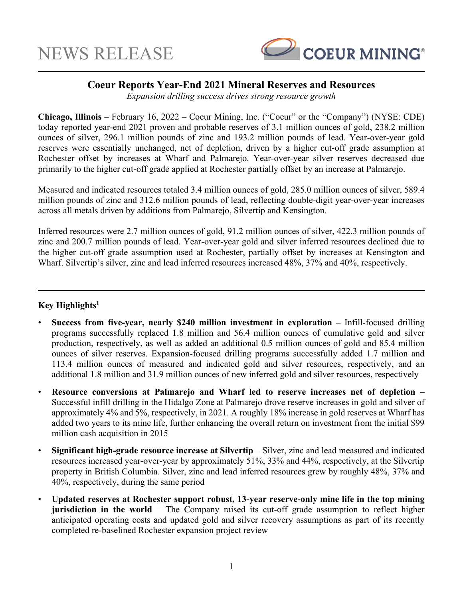

## **Coeur Reports Year-End 2021 Mineral Reserves and Resources**

*Expansion drilling success drives strong resource growth* 

**Chicago, Illinois** – February 16, 2022 – Coeur Mining, Inc. ("Coeur" or the "Company") (NYSE: CDE) today reported year-end 2021 proven and probable reserves of 3.1 million ounces of gold, 238.2 million ounces of silver, 296.1 million pounds of zinc and 193.2 million pounds of lead. Year-over-year gold reserves were essentially unchanged, net of depletion, driven by a higher cut-off grade assumption at Rochester offset by increases at Wharf and Palmarejo. Year-over-year silver reserves decreased due primarily to the higher cut-off grade applied at Rochester partially offset by an increase at Palmarejo.

Measured and indicated resources totaled 3.4 million ounces of gold, 285.0 million ounces of silver, 589.4 million pounds of zinc and 312.6 million pounds of lead, reflecting double-digit year-over-year increases across all metals driven by additions from Palmarejo, Silvertip and Kensington.

Inferred resources were 2.7 million ounces of gold, 91.2 million ounces of silver, 422.3 million pounds of zinc and 200.7 million pounds of lead. Year-over-year gold and silver inferred resources declined due to the higher cut-off grade assumption used at Rochester, partially offset by increases at Kensington and Wharf. Silvertip's silver, zinc and lead inferred resources increased 48%, 37% and 40%, respectively.

## **Key Highlights1**

- **Success from five-year, nearly \$240 million investment in exploration –** Infill-focused drilling programs successfully replaced 1.8 million and 56.4 million ounces of cumulative gold and silver production, respectively, as well as added an additional 0.5 million ounces of gold and 85.4 million ounces of silver reserves. Expansion-focused drilling programs successfully added 1.7 million and 113.4 million ounces of measured and indicated gold and silver resources, respectively, and an additional 1.8 million and 31.9 million ounces of new inferred gold and silver resources, respectively
- **Resource conversions at Palmarejo and Wharf led to reserve increases net of depletion**  Successful infill drilling in the Hidalgo Zone at Palmarejo drove reserve increases in gold and silver of approximately 4% and 5%, respectively, in 2021. A roughly 18% increase in gold reserves at Wharf has added two years to its mine life, further enhancing the overall return on investment from the initial \$99 million cash acquisition in 2015
- **Significant high-grade resource increase at Silvertip** Silver, zinc and lead measured and indicated resources increased year-over-year by approximately 51%, 33% and 44%, respectively, at the Silvertip property in British Columbia. Silver, zinc and lead inferred resources grew by roughly 48%, 37% and 40%, respectively, during the same period
- **Updated reserves at Rochester support robust, 13-year reserve-only mine life in the top mining jurisdiction in the world** – The Company raised its cut-off grade assumption to reflect higher anticipated operating costs and updated gold and silver recovery assumptions as part of its recently completed re-baselined Rochester expansion project review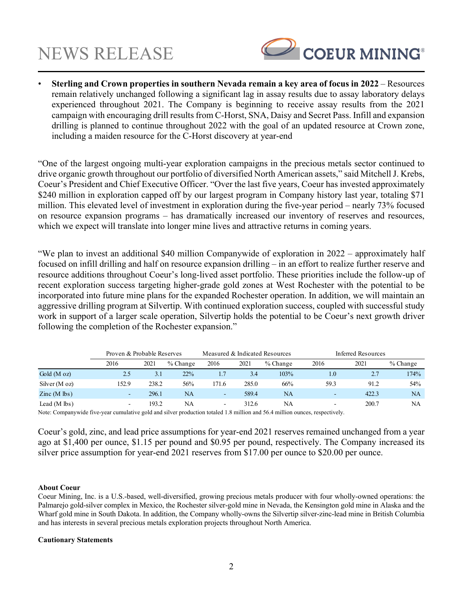

• **Sterling and Crown properties in southern Nevada remain a key area of focus in 2022** – Resources remain relatively unchanged following a significant lag in assay results due to assay laboratory delays experienced throughout 2021. The Company is beginning to receive assay results from the 2021 campaign with encouraging drill results from C-Horst, SNA, Daisy and Secret Pass. Infill and expansion drilling is planned to continue throughout 2022 with the goal of an updated resource at Crown zone, including a maiden resource for the C-Horst discovery at year-end

"One of the largest ongoing multi-year exploration campaigns in the precious metals sector continued to drive organic growth throughout our portfolio of diversified North American assets," said Mitchell J. Krebs, Coeur's President and Chief Executive Officer. "Over the last five years, Coeur has invested approximately \$240 million in exploration capped off by our largest program in Company history last year, totaling \$71 million. This elevated level of investment in exploration during the five-year period – nearly 73% focused on resource expansion programs – has dramatically increased our inventory of reserves and resources, which we expect will translate into longer mine lives and attractive returns in coming years.

"We plan to invest an additional \$40 million Companywide of exploration in 2022 – approximately half focused on infill drilling and half on resource expansion drilling – in an effort to realize further reserve and resource additions throughout Coeur's long-lived asset portfolio. These priorities include the follow-up of recent exploration success targeting higher-grade gold zones at West Rochester with the potential to be incorporated into future mine plans for the expanded Rochester operation. In addition, we will maintain an aggressive drilling program at Silvertip. With continued exploration success, coupled with successful study work in support of a larger scale operation, Silvertip holds the potential to be Coeur's next growth driver following the completion of the Rochester expansion."

|                                            | Proven & Probable Reserves |       |            | Measured & Indicated Resources |       |            | Inferred Resources       |       |            |
|--------------------------------------------|----------------------------|-------|------------|--------------------------------|-------|------------|--------------------------|-------|------------|
|                                            | 2016                       | 2021  | $%$ Change | 2016                           | 2021  | $%$ Change | 2016                     | 2021  | $%$ Change |
| Gold $(M \text{ oz})$                      | 2.5                        | 3.1   | 22%        |                                | 3.4   | 103%       | 1.0                      | 2.7   | 174%       |
| Silver $(M \text{ oz})$                    | 152.9                      | 238.2 | 56%        | 171.6                          | 285.0 | 66%        | 59.3                     | 91.2  | 54%        |
| $\text{Zinc} \left( \text{M} \right)$ lbs) | $\overline{\phantom{0}}$   | 296.1 | NA         | ۰.                             | 589.4 | <b>NA</b>  | ۰                        | 422.3 | NA         |
| Lead $(M \, \text{lbs})$                   | $\overline{\phantom{0}}$   | 193.2 | NA         | $\overline{\phantom{0}}$       | 312.6 | NA         | $\overline{\phantom{a}}$ | 200.7 | <b>NA</b>  |

Note: Companywide five-year cumulative gold and silver production totaled 1.8 million and 56.4 million ounces, respectively.

Coeur's gold, zinc, and lead price assumptions for year-end 2021 reserves remained unchanged from a year ago at \$1,400 per ounce, \$1.15 per pound and \$0.95 per pound, respectively. The Company increased its silver price assumption for year-end 2021 reserves from \$17.00 per ounce to \$20.00 per ounce.

### **About Coeur**

Coeur Mining, Inc. is a U.S.-based, well-diversified, growing precious metals producer with four wholly-owned operations: the Palmarejo gold-silver complex in Mexico, the Rochester silver-gold mine in Nevada, the Kensington gold mine in Alaska and the Wharf gold mine in South Dakota. In addition, the Company wholly-owns the Silvertip silver-zinc-lead mine in British Columbia and has interests in several precious metals exploration projects throughout North America.

### **Cautionary Statements**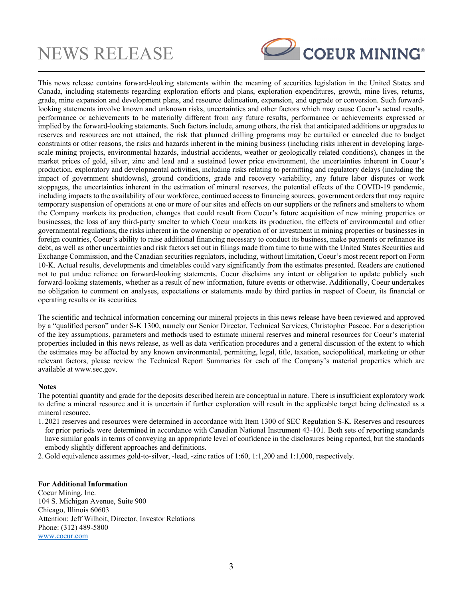

This news release contains forward-looking statements within the meaning of securities legislation in the United States and Canada, including statements regarding exploration efforts and plans, exploration expenditures, growth, mine lives, returns, grade, mine expansion and development plans, and resource delineation, expansion, and upgrade or conversion. Such forwardlooking statements involve known and unknown risks, uncertainties and other factors which may cause Coeur's actual results, performance or achievements to be materially different from any future results, performance or achievements expressed or implied by the forward-looking statements. Such factors include, among others, the risk that anticipated additions or upgrades to reserves and resources are not attained, the risk that planned drilling programs may be curtailed or canceled due to budget constraints or other reasons, the risks and hazards inherent in the mining business (including risks inherent in developing largescale mining projects, environmental hazards, industrial accidents, weather or geologically related conditions), changes in the market prices of gold, silver, zinc and lead and a sustained lower price environment, the uncertainties inherent in Coeur's production, exploratory and developmental activities, including risks relating to permitting and regulatory delays (including the impact of government shutdowns), ground conditions, grade and recovery variability, any future labor disputes or work stoppages, the uncertainties inherent in the estimation of mineral reserves, the potential effects of the COVID-19 pandemic, including impacts to the availability of our workforce, continued access to financing sources, government orders that may require temporary suspension of operations at one or more of our sites and effects on our suppliers or the refiners and smelters to whom the Company markets its production, changes that could result from Coeur's future acquisition of new mining properties or businesses, the loss of any third-party smelter to which Coeur markets its production, the effects of environmental and other governmental regulations, the risks inherent in the ownership or operation of or investment in mining properties or businesses in foreign countries, Coeur's ability to raise additional financing necessary to conduct its business, make payments or refinance its debt, as well as other uncertainties and risk factors set out in filings made from time to time with the United States Securities and Exchange Commission, and the Canadian securities regulators, including, without limitation, Coeur's most recent report on Form 10-K. Actual results, developments and timetables could vary significantly from the estimates presented. Readers are cautioned not to put undue reliance on forward-looking statements. Coeur disclaims any intent or obligation to update publicly such forward-looking statements, whether as a result of new information, future events or otherwise. Additionally, Coeur undertakes no obligation to comment on analyses, expectations or statements made by third parties in respect of Coeur, its financial or operating results or its securities.

The scientific and technical information concerning our mineral projects in this news release have been reviewed and approved by a "qualified person" under S-K 1300, namely our Senior Director, Technical Services, Christopher Pascoe. For a description of the key assumptions, parameters and methods used to estimate mineral reserves and mineral resources for Coeur's material properties included in this news release, as well as data verification procedures and a general discussion of the extent to which the estimates may be affected by any known environmental, permitting, legal, title, taxation, sociopolitical, marketing or other relevant factors, please review the Technical Report Summaries for each of the Company's material properties which are available at www.sec.gov.

### **Notes**

The potential quantity and grade for the deposits described herein are conceptual in nature. There is insufficient exploratory work to define a mineral resource and it is uncertain if further exploration will result in the applicable target being delineated as a mineral resource.

- 1. 2021 reserves and resources were determined in accordance with Item 1300 of SEC Regulation S-K. Reserves and resources for prior periods were determined in accordance with Canadian National Instrument 43-101. Both sets of reporting standards have similar goals in terms of conveying an appropriate level of confidence in the disclosures being reported, but the standards embody slightly different approaches and definitions.
- 2. Gold equivalence assumes gold-to-silver, -lead, -zinc ratios of 1:60, 1:1,200 and 1:1,000, respectively.

### **For Additional Information**

Coeur Mining, Inc. 104 S. Michigan Avenue, Suite 900 Chicago, Illinois 60603 Attention: Jeff Wilhoit, Director, Investor Relations Phone: (312) 489-5800 www.coeur.com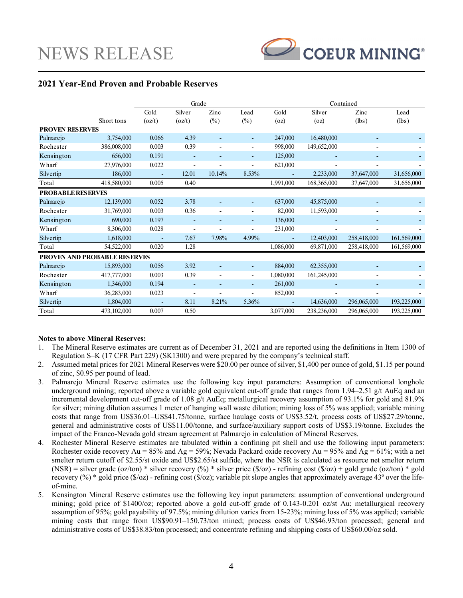

## **2021 Year-End Proven and Probable Reserves**

|                                     | Grade       |        |                          |        | Contained                |           |             |             |             |
|-------------------------------------|-------------|--------|--------------------------|--------|--------------------------|-----------|-------------|-------------|-------------|
|                                     |             | Gold   | Silver                   | Zinc   | Lead                     | Gold      | Silver      | Zinc        | Lead        |
|                                     | Short tons  | (oz/t) | (oz/t)                   | $(\%)$ | $(\%)$                   | (oz)      | (oz)        | (lbs)       | (lbs)       |
| <b>PROVEN RESERVES</b>              |             |        |                          |        |                          |           |             |             |             |
| Palmarejo                           | 3,754,000   | 0.066  | 4.39                     |        |                          | 247,000   | 16,480,000  |             |             |
| Rochester                           | 386,008,000 | 0.003  | 0.39                     |        | $\overline{\phantom{a}}$ | 998,000   | 149,652,000 |             |             |
| Kensington                          | 656,000     | 0.191  |                          |        | $\overline{\phantom{0}}$ | 125,000   |             |             |             |
| Wharf                               | 27,976,000  | 0.022  | $\overline{a}$           |        |                          | 621,000   |             |             |             |
| Silvertip                           | 186,000     |        | 12.01                    | 10.14% | 8.53%                    |           | 2,233,000   | 37,647,000  | 31,656,000  |
| Total                               | 418,580,000 | 0.005  | 0.40                     |        |                          | 1,991,000 | 168,365,000 | 37,647,000  | 31,656,000  |
| <b>PROBABLE RESERVES</b>            |             |        |                          |        |                          |           |             |             |             |
| Palmarejo                           | 12,139,000  | 0.052  | 3.78                     |        | ۰                        | 637,000   | 45,875,000  |             |             |
| Rochester                           | 31,769,000  | 0.003  | 0.36                     |        | $\overline{a}$           | 82,000    | 11,593,000  |             |             |
| Kensington                          | 690,000     | 0.197  |                          |        | $\overline{\phantom{0}}$ | 136,000   |             |             |             |
| Wharf                               | 8,306,000   | 0.028  | $\overline{\phantom{a}}$ |        |                          | 231,000   |             |             |             |
| Silvertip                           | 1,618,000   |        | 7.67                     | 7.98%  | 4.99%                    |           | 12,403,000  | 258,418,000 | 161,569,000 |
| Total                               | 54,522,000  | 0.020  | 1.28                     |        |                          | 1,086,000 | 69,871,000  | 258,418,000 | 161,569,000 |
| <b>PROVEN AND PROBABLE RESERVES</b> |             |        |                          |        |                          |           |             |             |             |
| Palmarejo                           | 15,893,000  | 0.056  | 3.92                     |        | ۰                        | 884,000   | 62,355,000  |             |             |
| Rochester                           | 417,777,000 | 0.003  | 0.39                     |        | $\overline{\phantom{a}}$ | 1,080,000 | 161,245,000 |             |             |
| Kensington                          | 1,346,000   | 0.194  |                          |        | ٠                        | 261,000   |             |             |             |
| Wharf                               | 36,283,000  | 0.023  |                          |        |                          | 852,000   |             |             |             |
| Silvertip                           | 1,804,000   |        | 8.11                     | 8.21%  | 5.36%                    |           | 14,636,000  | 296,065,000 | 193,225,000 |
| Total                               | 473,102,000 | 0.007  | 0.50                     |        |                          | 3,077,000 | 238,236,000 | 296,065,000 | 193,225,000 |

### **Notes to above Mineral Reserves:**

- 1. The Mineral Reserve estimates are current as of December 31, 2021 and are reported using the definitions in Item 1300 of Regulation S–K (17 CFR Part 229) (SK1300) and were prepared by the company's technical staff.
- 2. Assumed metal prices for 2021 Mineral Reserves were \$20.00 per ounce of silver, \$1,400 per ounce of gold, \$1.15 per pound of zinc, \$0.95 per pound of lead.
- 3. Palmarejo Mineral Reserve estimates use the following key input parameters: Assumption of conventional longhole underground mining; reported above a variable gold equivalent cut-off grade that ranges from 1.94–2.51 g/t AuEq and an incremental development cut-off grade of 1.08 g/t AuEq; metallurgical recovery assumption of 93.1% for gold and 81.9% for silver; mining dilution assumes 1 meter of hanging wall waste dilution; mining loss of 5% was applied; variable mining costs that range from US\$36.01–US\$41.75/tonne, surface haulage costs of US\$3.52/t, process costs of US\$27.29/tonne, general and administrative costs of US\$11.00/tonne, and surface/auxiliary support costs of US\$3.19/tonne. Excludes the impact of the Franco-Nevada gold stream agreement at Palmarejo in calculation of Mineral Reserves.
- 4. Rochester Mineral Reserve estimates are tabulated within a confining pit shell and use the following input parameters: Rochester oxide recovery Au = 85% and Ag = 59%; Nevada Packard oxide recovery Au = 95% and Ag = 61%; with a net smelter return cutoff of \$2.55/st oxide and US\$2.65/st sulfide, where the NSR is calculated as resource net smelter return (NSR) = silver grade (oz/ton) \* silver recovery (%) \* silver price (\$/oz) - refining cost (\$/oz) + gold grade (oz/ton) \* gold recovery  $(\%)$  \* gold price  $(\$/oz)$  - refining cost  $(\$/oz)$ ; variable pit slope angles that approximately average 43° over the lifeof-mine.
- 5. Kensington Mineral Reserve estimates use the following key input parameters: assumption of conventional underground mining; gold price of \$1400/oz; reported above a gold cut-off grade of 0.143-0.201 oz/st Au; metallurgical recovery assumption of 95%; gold payability of 97.5%; mining dilution varies from 15-23%; mining loss of 5% was applied; variable mining costs that range from US\$90.91–150.73/ton mined; process costs of US\$46.93/ton processed; general and administrative costs of US\$38.83/ton processed; and concentrate refining and shipping costs of US\$60.00/oz sold.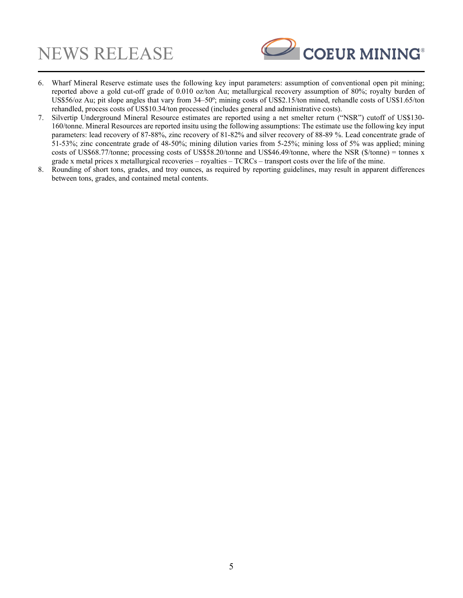

- 6. Wharf Mineral Reserve estimate uses the following key input parameters: assumption of conventional open pit mining; reported above a gold cut-off grade of 0.010 oz/ton Au; metallurgical recovery assumption of 80%; royalty burden of US\$56/oz Au; pit slope angles that vary from 34–50°; mining costs of US\$2.15/ton mined, rehandle costs of US\$1.65/ton rehandled, process costs of US\$10.34/ton processed (includes general and administrative costs).
- 7. Silvertip Underground Mineral Resource estimates are reported using a net smelter return ("NSR") cutoff of US\$130- 160/tonne. Mineral Resources are reported insitu using the following assumptions: The estimate use the following key input parameters: lead recovery of 87-88%, zinc recovery of 81-82% and silver recovery of 88-89 %. Lead concentrate grade of 51-53%; zinc concentrate grade of 48-50%; mining dilution varies from 5-25%; mining loss of 5% was applied; mining costs of US\$68.77/tonne; processing costs of US\$58.20/tonne and US\$46.49/tonne, where the NSR (\$/tonne) = tonnes x grade x metal prices x metallurgical recoveries – royalties – TCRCs – transport costs over the life of the mine.
- 8. Rounding of short tons, grades, and troy ounces, as required by reporting guidelines, may result in apparent differences between tons, grades, and contained metal contents.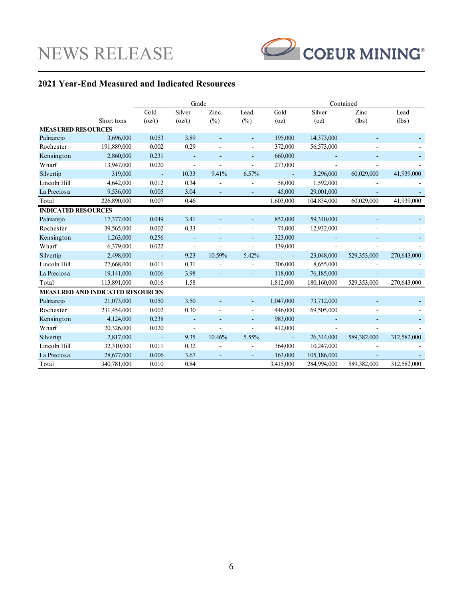

## **2021 Year-End Measured and Indicated Resources**

|                                         |             | Grade          |                          |        |                          | Contained                |             |             |             |
|-----------------------------------------|-------------|----------------|--------------------------|--------|--------------------------|--------------------------|-------------|-------------|-------------|
|                                         |             | Gold           | Silver                   | Zinc   | Lead                     | Gold                     | Silver      | Zinc        | Lead        |
|                                         | Short tons  | (oz/t)         | (oz/t)                   | $(\%)$ | $(\%)$                   | (oz)                     | (oz)        | (lbs)       | (lbs)       |
| <b>MEASURED RESOURCES</b>               |             |                |                          |        |                          |                          |             |             |             |
| Palmarejo                               | 3,696,000   | 0.053          | 3.89                     |        |                          | 195,000                  | 14,373,000  |             |             |
| Rochester                               | 191,889,000 | 0.002          | 0.29                     |        | $\overline{\phantom{a}}$ | 372,000                  | 56,573,000  |             |             |
| Kensington                              | 2,860,000   | 0.231          | $\blacksquare$           |        | L,                       | 660,000                  |             |             |             |
| Wharf                                   | 13,947,000  | 0.020          | $\overline{\phantom{a}}$ | ٠      | $\overline{a}$           | 273,000                  |             |             |             |
| Silvertip                               | 319,000     | $\blacksquare$ | 10.33                    | 9.41%  | 6.57%                    | $\overline{\phantom{a}}$ | 3,296,000   | 60,029,000  | 41,939,000  |
| Lincoln Hill                            | 4,642,000   | 0.012          | 0.34                     |        | $\overline{a}$           | 58,000                   | 1,592,000   |             |             |
| La Preciosa                             | 9,536,000   | 0.005          | 3.04                     |        |                          | 45,000                   | 29,001,000  |             |             |
| Total                                   | 226,890,000 | 0.007          | 0.46                     |        |                          | 1,603,000                | 104,834,000 | 60,029,000  | 41,939,000  |
| <b>INDICATED RESOURCES</b>              |             |                |                          |        |                          |                          |             |             |             |
| Palmarejo                               | 17,377,000  | 0.049          | 3.41                     |        | $\overline{\phantom{a}}$ | 852,000                  | 59,340,000  |             |             |
| Rochester                               | 39,565,000  | 0.002          | 0.33                     |        | ÷                        | 74,000                   | 12,932,000  |             |             |
| Kensington                              | 1,263,000   | 0.256          | $\overline{\phantom{a}}$ | ٠      | $\overline{\phantom{a}}$ | 323,000                  |             |             |             |
| Wharf                                   | 6,379,000   | 0.022          | $\overline{\phantom{a}}$ |        | ÷                        | 139,000                  |             |             |             |
| Silvertip                               | 2,498,000   |                | 9.23                     | 10.59% | 5.42%                    | $\overline{\phantom{a}}$ | 23,048,000  | 529,353,000 | 270,643,000 |
| Lincoln Hill                            | 27,668,000  | 0.011          | 0.31                     |        |                          | 306,000                  | 8,655,000   |             |             |
| La Preciosa                             | 19,141,000  | 0.006          | 3.98                     | ٠      | ÷,                       | 118,000                  | 76,185,000  |             |             |
| Total                                   | 113,891,000 | 0.016          | 1.58                     |        |                          | 1,812,000                | 180,160,000 | 529,353,000 | 270,643,000 |
| <b>MEASURED AND INDICATED RESOURCES</b> |             |                |                          |        |                          |                          |             |             |             |
| Palmarejo                               | 21,073,000  | 0.050          | 3.50                     |        | ÷,                       | 1,047,000                | 73,712,000  |             |             |
| Rochester                               | 231,454,000 | 0.002          | 0.30                     |        | $\overline{\phantom{a}}$ | 446,000                  | 69,505,000  |             |             |
| Kensington                              | 4,124,000   | 0.238          |                          |        | L.                       | 983,000                  |             |             |             |
| Wharf                                   | 20,326,000  | 0.020          | $\overline{\phantom{a}}$ | Ĭ.     | $\overline{a}$           | 412,000                  |             |             |             |
| Silvertip                               | 2,817,000   | $\blacksquare$ | 9.35                     | 10.46% | 5.55%                    | $\blacksquare$           | 26,344,000  | 589,382,000 | 312,582,000 |
| Lincoln Hill                            | 32,310,000  | 0.011          | 0.32                     |        | $\overline{\phantom{a}}$ | 364,000                  | 10,247,000  |             |             |
| La Preciosa                             | 28,677,000  | 0.006          | 3.67                     |        |                          | 163,000                  | 105,186,000 |             |             |
| Total                                   | 340,781,000 | 0.010          | 0.84                     |        |                          | 3,415,000                | 284,994,000 | 589,382,000 | 312,582,000 |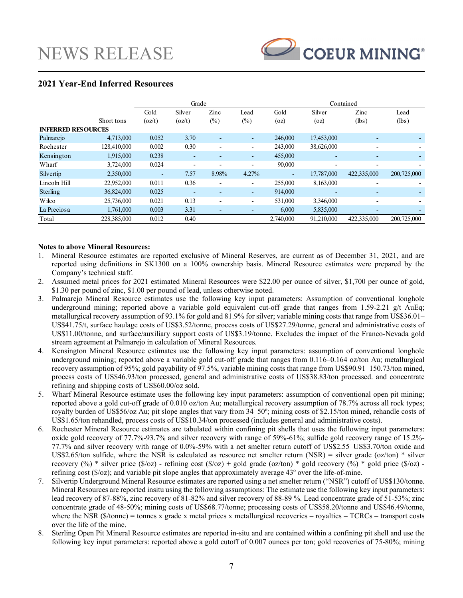

## **2021 Year-End Inferred Resources**

|                           |             | Grade  |        |                          |                          | Contained |                          |                          |             |
|---------------------------|-------------|--------|--------|--------------------------|--------------------------|-----------|--------------------------|--------------------------|-------------|
|                           |             | Gold   | Silver | $\mathop{\rm Zinc}$      | Lead                     | Gold      | Silver                   | Zinc                     | Lead        |
|                           | Short tons  | (oz/t) | (oz/t) | $(\%)$                   | $\left(\%\right)$        | (oz)      | (oz)                     | (lbs)                    | (lbs)       |
| <b>INFERRED RESOURCES</b> |             |        |        |                          |                          |           |                          |                          |             |
| Palmarejo                 | 4,713,000   | 0.052  | 3.70   | -                        | ٠                        | 246,000   | 17,453,000               |                          |             |
| Rochester                 | 128,410,000 | 0.002  | 0.30   | $\overline{\phantom{0}}$ | $\overline{\phantom{a}}$ | 243,000   | 38,626,000               | $\overline{\phantom{0}}$ |             |
| Kensington                | 1,915,000   | 0.238  |        |                          | ٠                        | 455,000   | $\overline{\phantom{a}}$ | $\overline{\phantom{0}}$ |             |
| Wharf                     | 3,724,000   | 0.024  |        |                          |                          | 90,000    | $\overline{\phantom{a}}$ | $\overline{\phantom{0}}$ |             |
| Silvertip                 | 2,350,000   | ۰      | 7.57   | 8.98%                    | 4.27%                    | ٠         | 17,787,000               | 422,335,000              | 200,725,000 |
| Lincoln Hill              | 22,952,000  | 0.011  | 0.36   | ٠                        | $\overline{\phantom{a}}$ | 255,000   | 8,163,000                | $\overline{\phantom{0}}$ |             |
| Sterling                  | 36,824,000  | 0.025  |        |                          | ٠                        | 914,000   |                          | $\overline{\phantom{0}}$ |             |
| Wilco                     | 25,736,000  | 0.021  | 0.13   | ٠                        | $\overline{\phantom{a}}$ | 531,000   | 3,346,000                | ٠                        |             |
| La Preciosa               | 1,761,000   | 0.003  | 3.31   | -                        |                          | 6,000     | 5,835,000                |                          |             |
| Total                     | 228,385,000 | 0.012  | 0.40   |                          |                          | 2,740,000 | 91.210,000               | 422,335,000              | 200,725,000 |

### **Notes to above Mineral Resources:**

- 1. Mineral Resource estimates are reported exclusive of Mineral Reserves, are current as of December 31, 2021, and are reported using definitions in SK1300 on a 100% ownership basis. Mineral Resource estimates were prepared by the Company's technical staff.
- 2. Assumed metal prices for 2021 estimated Mineral Resources were \$22.00 per ounce of silver, \$1,700 per ounce of gold, \$1.30 per pound of zinc, \$1.00 per pound of lead, unless otherwise noted.
- 3. Palmarejo Mineral Resource estimates use the following key input parameters: Assumption of conventional longhole underground mining; reported above a variable gold equivalent cut-off grade that ranges from 1.59-2.21 g/t AuEq; metallurgical recovery assumption of 93.1% for gold and 81.9% for silver; variable mining costs that range from US\$36.01– US\$41.75/t, surface haulage costs of US\$3.52/tonne, process costs of US\$27.29/tonne, general and administrative costs of US\$11.00/tonne, and surface/auxiliary support costs of US\$3.19/tonne. Excludes the impact of the Franco-Nevada gold stream agreement at Palmarejo in calculation of Mineral Resources.
- 4. Kensington Mineral Resource estimates use the following key input parameters: assumption of conventional longhole underground mining; reported above a variable gold cut-off grade that ranges from 0.116–0.164 oz/ton Au; metallurgical recovery assumption of 95%; gold payability of 97.5%, variable mining costs that range from US\$90.91–150.73/ton mined, process costs of US\$46.93/ton processed, general and administrative costs of US\$38.83/ton processed. and concentrate refining and shipping costs of US\$60.00/oz sold.
- 5. Wharf Mineral Resource estimate uses the following key input parameters: assumption of conventional open pit mining; reported above a gold cut-off grade of 0.010 oz/ton Au; metallurgical recovery assumption of 78.7% across all rock types; royalty burden of US\$56/oz Au; pit slope angles that vary from 34–50º; mining costs of \$2.15/ton mined, rehandle costs of US\$1.65/ton rehandled, process costs of US\$10.34/ton processed (includes general and administrative costs).
- 6. Rochester Mineral Resource estimates are tabulated within confining pit shells that uses the following input parameters: oxide gold recovery of 77.7%-93.7% and silver recovery with range of 59%-61%; sulfide gold recovery range of 15.2%- 77.7% and silver recovery with range of 0.0%-59% with a net smelter return cutoff of US\$2.55–US\$3.70/ton oxide and US\$2.65/ton sulfide, where the NSR is calculated as resource net smelter return  $(NSR)$  = silver grade (oz/ton) \* silver recovery (%) \* silver price (\$/oz) - refining cost (\$/oz) + gold grade (oz/ton) \* gold recovery (%) \* gold price (\$/oz) refining cost (\$/oz); and variable pit slope angles that approximately average 43º over the life-of-mine.
- 7. Silvertip Underground Mineral Resource estimates are reported using a net smelter return ("NSR") cutoff of US\$130/tonne. Mineral Resources are reported insitu using the following assumptions: The estimate use the following key input parameters: lead recovery of 87-88%, zinc recovery of 81-82% and silver recovery of 88-89 %. Lead concentrate grade of 51-53%; zinc concentrate grade of 48-50%; mining costs of US\$68.77/tonne; processing costs of US\$58.20/tonne and US\$46.49/tonne, where the NSR ( $\frac{\text{St}}{\text{const}}$ ) = tonnes x grade x metal prices x metallurgical recoveries – royalties – TCRCs – transport costs over the life of the mine.
- 8. Sterling Open Pit Mineral Resource estimates are reported in-situ and are contained within a confining pit shell and use the following key input parameters: reported above a gold cutoff of 0.007 ounces per ton; gold recoveries of 75-80%; mining